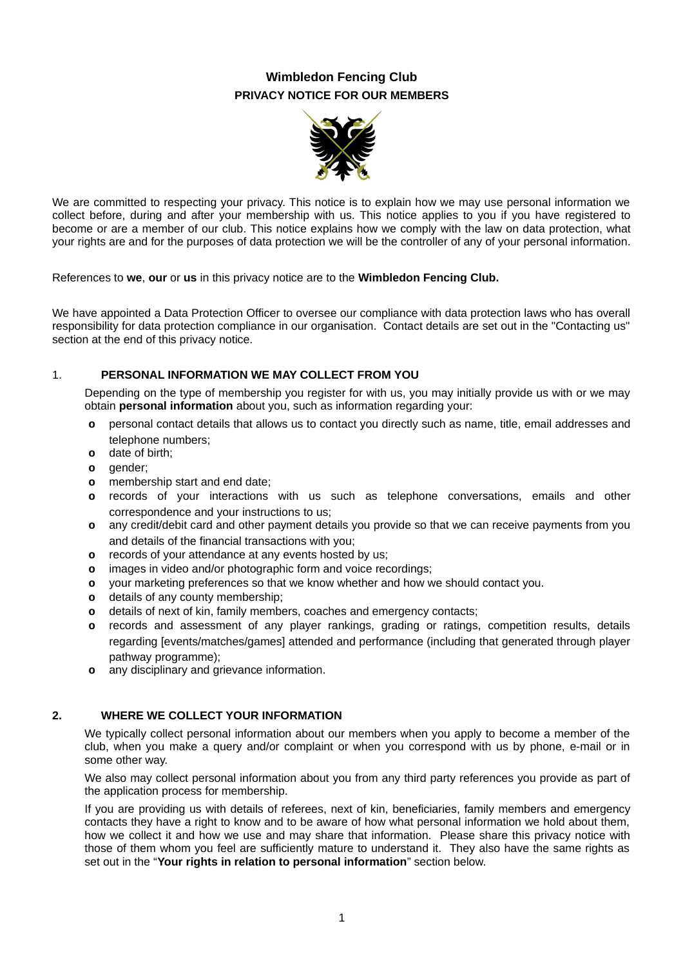# **Wimbledon Fencing Club PRIVACY NOTICE FOR OUR MEMBERS**



We are committed to respecting your privacy. This notice is to explain how we may use personal information we collect before, during and after your membership with us. This notice applies to you if you have registered to become or are a member of our club. This notice explains how we comply with the law on data protection, what your rights are and for the purposes of data protection we will be the controller of any of your personal information.

References to **we**, **our** or **us** in this privacy notice are to the **Wimbledon Fencing Club.**

We have appointed a Data Protection Officer to oversee our compliance with data protection laws who has overall responsibility for data protection compliance in our organisation. Contact details are set out in the "Contacting us" section at the end of this privacy notice.

## 1. **PERSONAL INFORMATION WE MAY COLLECT FROM YOU**

Depending on the type of membership you register for with us, you may initially provide us with or we may obtain **personal information** about you, such as information regarding your:

- **o** personal contact details that allows us to contact you directly such as name, title, email addresses and telephone numbers;
- **o** date of birth;
- **o** gender;
- **o** membership start and end date;
- **o** records of your interactions with us such as telephone conversations, emails and other correspondence and your instructions to us;
- **o** any credit/debit card and other payment details you provide so that we can receive payments from you and details of the financial transactions with you;
- **o** records of your attendance at any events hosted by us;
- **o** images in video and/or photographic form and voice recordings;
- **o** your marketing preferences so that we know whether and how we should contact you.
- **o** details of any county membership;
- **o** details of next of kin, family members, coaches and emergency contacts;
- **o** records and assessment of any player rankings, grading or ratings, competition results, details regarding [events/matches/games] attended and performance (including that generated through player pathway programme);
- **o** any disciplinary and grievance information.

#### **2. WHERE WE COLLECT YOUR INFORMATION**

We typically collect personal information about our members when you apply to become a member of the club, when you make a query and/or complaint or when you correspond with us by phone, e-mail or in some other way.

We also may collect personal information about you from any third party references you provide as part of the application process for membership.

If you are providing us with details of referees, next of kin, beneficiaries, family members and emergency contacts they have a right to know and to be aware of how what personal information we hold about them, how we collect it and how we use and may share that information. Please share this privacy notice with those of them whom you feel are sufficiently mature to understand it. They also have the same rights as set out in the "**Your rights in relation to personal information**" section below.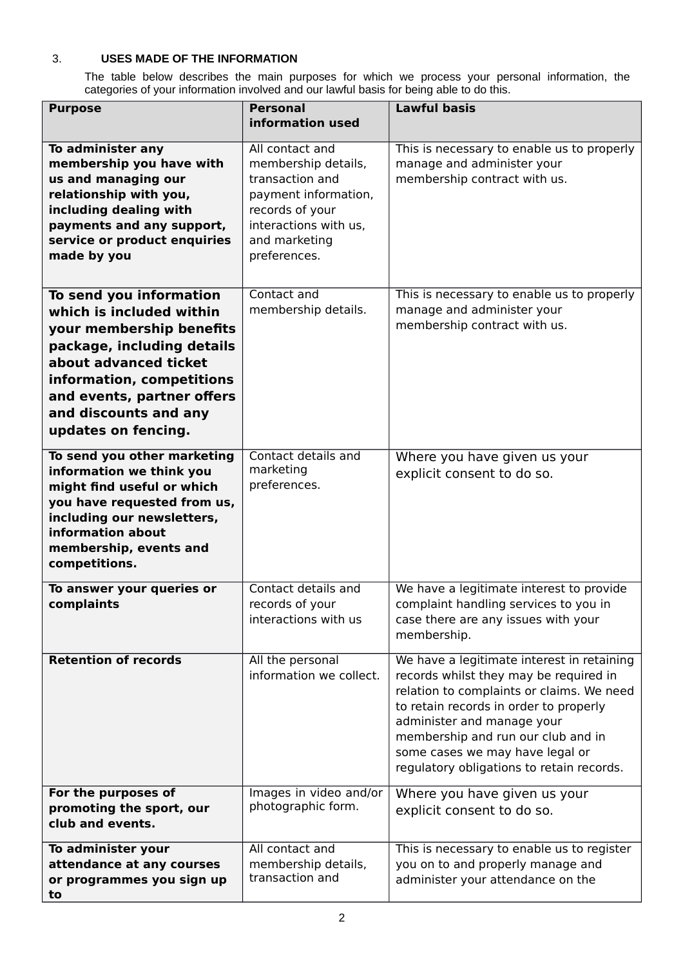## 3. **USES MADE OF THE INFORMATION**

The table below describes the main purposes for which we process your personal information, the categories of your information involved and our lawful basis for being able to do this.

| <b>Purpose</b>                                          | <b>Personal</b>                             | <b>Lawful basis</b>                                                                  |
|---------------------------------------------------------|---------------------------------------------|--------------------------------------------------------------------------------------|
|                                                         | information used                            |                                                                                      |
| To administer any                                       | All contact and                             | This is necessary to enable us to properly                                           |
| membership you have with                                | membership details,                         | manage and administer your                                                           |
| us and managing our<br>relationship with you,           | transaction and<br>payment information,     | membership contract with us.                                                         |
| including dealing with                                  | records of your                             |                                                                                      |
| payments and any support,                               | interactions with us,                       |                                                                                      |
| service or product enquiries                            | and marketing                               |                                                                                      |
| made by you                                             | preferences.                                |                                                                                      |
|                                                         |                                             |                                                                                      |
| To send you information                                 | Contact and                                 | This is necessary to enable us to properly                                           |
| which is included within                                | membership details.                         | manage and administer your                                                           |
| your membership benefits                                |                                             | membership contract with us.                                                         |
| package, including details                              |                                             |                                                                                      |
| about advanced ticket                                   |                                             |                                                                                      |
| information, competitions<br>and events, partner offers |                                             |                                                                                      |
| and discounts and any                                   |                                             |                                                                                      |
| updates on fencing.                                     |                                             |                                                                                      |
|                                                         |                                             |                                                                                      |
| To send you other marketing                             | Contact details and<br>marketing            | Where you have given us your                                                         |
| information we think you<br>might find useful or which  | preferences.                                | explicit consent to do so.                                                           |
| you have requested from us,                             |                                             |                                                                                      |
| including our newsletters,                              |                                             |                                                                                      |
| information about                                       |                                             |                                                                                      |
| membership, events and                                  |                                             |                                                                                      |
| competitions.                                           |                                             |                                                                                      |
| To answer your queries or                               | Contact details and                         | We have a legitimate interest to provide                                             |
| complaints                                              | records of your<br>interactions with us     | complaint handling services to you in                                                |
|                                                         |                                             | case there are any issues with your<br>membership.                                   |
|                                                         |                                             |                                                                                      |
| <b>Retention of records</b>                             | All the personal<br>information we collect. | We have a legitimate interest in retaining<br>records whilst they may be required in |
|                                                         |                                             | relation to complaints or claims. We need                                            |
|                                                         |                                             | to retain records in order to properly                                               |
|                                                         |                                             | administer and manage your                                                           |
|                                                         |                                             | membership and run our club and in                                                   |
|                                                         |                                             | some cases we may have legal or                                                      |
|                                                         |                                             | regulatory obligations to retain records.                                            |
| For the purposes of                                     | Images in video and/or                      | Where you have given us your                                                         |
| promoting the sport, our                                | photographic form.                          | explicit consent to do so.                                                           |
| club and events.                                        |                                             |                                                                                      |
| To administer your                                      | All contact and                             | This is necessary to enable us to register                                           |
| attendance at any courses                               | membership details,<br>transaction and      | you on to and properly manage and                                                    |
| or programmes you sign up<br>to                         |                                             | administer your attendance on the                                                    |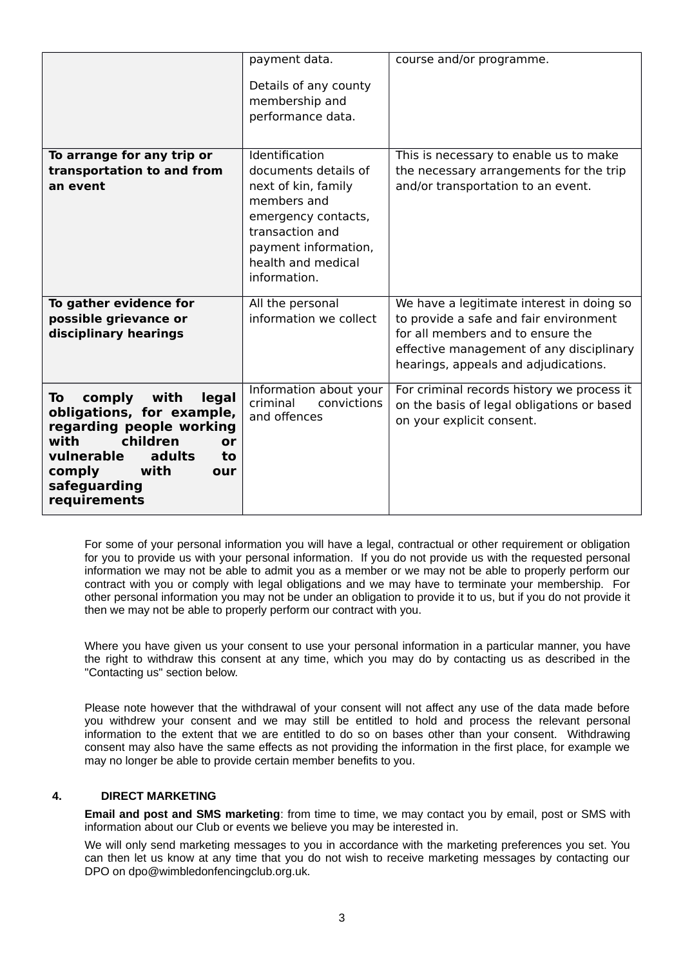|                                                                                                                                                                                                         | payment data.<br>Details of any county<br>membership and<br>performance data.                                                                                                        | course and/or programme.                                                                                                                                                                                     |
|---------------------------------------------------------------------------------------------------------------------------------------------------------------------------------------------------------|--------------------------------------------------------------------------------------------------------------------------------------------------------------------------------------|--------------------------------------------------------------------------------------------------------------------------------------------------------------------------------------------------------------|
| To arrange for any trip or<br>transportation to and from<br>an event                                                                                                                                    | Identification<br>documents details of<br>next of kin, family<br>members and<br>emergency contacts,<br>transaction and<br>payment information,<br>health and medical<br>information. | This is necessary to enable us to make<br>the necessary arrangements for the trip<br>and/or transportation to an event.                                                                                      |
| To gather evidence for<br>possible grievance or<br>disciplinary hearings                                                                                                                                | All the personal<br>information we collect                                                                                                                                           | We have a legitimate interest in doing so<br>to provide a safe and fair environment<br>for all members and to ensure the<br>effective management of any disciplinary<br>hearings, appeals and adjudications. |
| comply<br>legal<br>with<br>To<br>obligations, for example,<br>regarding people working<br>children<br>with<br>or<br>vulnerable<br>adults<br>to<br>comply<br>with<br>our<br>safeguarding<br>requirements | Information about your<br>criminal<br>convictions<br>and offences                                                                                                                    | For criminal records history we process it<br>on the basis of legal obligations or based<br>on your explicit consent.                                                                                        |

For some of your personal information you will have a legal, contractual or other requirement or obligation for you to provide us with your personal information. If you do not provide us with the requested personal information we may not be able to admit you as a member or we may not be able to properly perform our contract with you or comply with legal obligations and we may have to terminate your membership. For other personal information you may not be under an obligation to provide it to us, but if you do not provide it then we may not be able to properly perform our contract with you.

Where you have given us your consent to use your personal information in a particular manner, you have the right to withdraw this consent at any time, which you may do by contacting us as described in the "Contacting us" section below.

Please note however that the withdrawal of your consent will not affect any use of the data made before you withdrew your consent and we may still be entitled to hold and process the relevant personal information to the extent that we are entitled to do so on bases other than your consent. Withdrawing consent may also have the same effects as not providing the information in the first place, for example we may no longer be able to provide certain member benefits to you.

## **4. DIRECT MARKETING**

**Email and post and SMS marketing**: from time to time, we may contact you by email, post or SMS with information about our Club or events we believe you may be interested in.

We will only send marketing messages to you in accordance with the marketing preferences you set. You can then let us know at any time that you do not wish to receive marketing messages by contacting our DPO on dpo@wimbledonfencingclub.org.uk.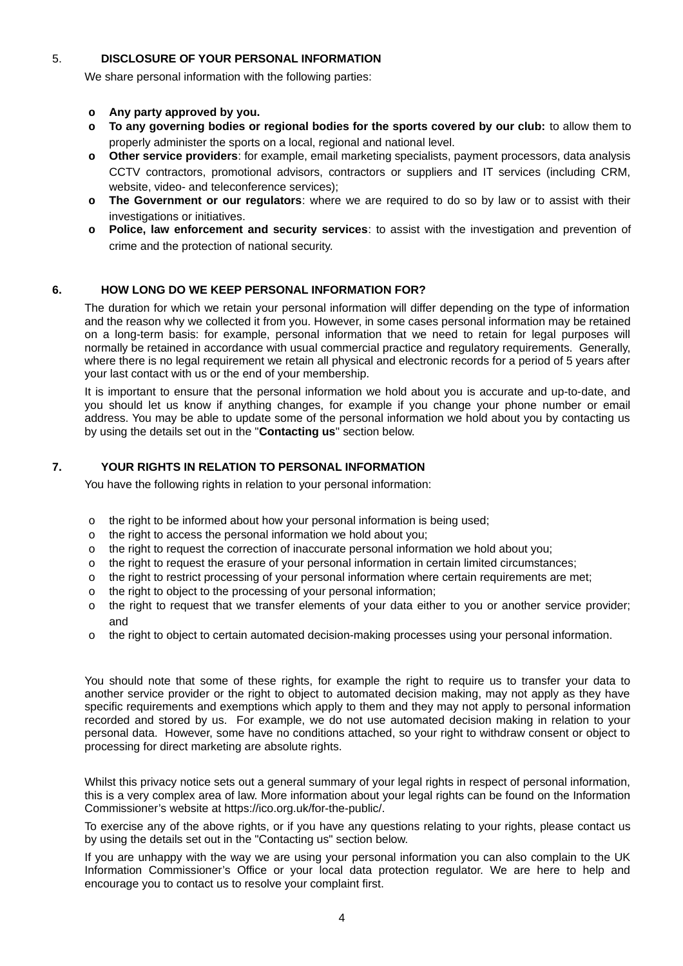## 5. **DISCLOSURE OF YOUR PERSONAL INFORMATION**

We share personal information with the following parties:

#### **o Any party approved by you.**

- **o To any governing bodies or regional bodies for the sports covered by our club:** to allow them to properly administer the sports on a local, regional and national level.
- **o Other service providers**: for example, email marketing specialists, payment processors, data analysis CCTV contractors, promotional advisors, contractors or suppliers and IT services (including CRM, website, video- and teleconference services);
- **o The Government or our regulators**: where we are required to do so by law or to assist with their investigations or initiatives.
- **o Police, law enforcement and security services**: to assist with the investigation and prevention of crime and the protection of national security.

## **6. HOW LONG DO WE KEEP PERSONAL INFORMATION FOR?**

The duration for which we retain your personal information will differ depending on the type of information and the reason why we collected it from you. However, in some cases personal information may be retained on a long-term basis: for example, personal information that we need to retain for legal purposes will normally be retained in accordance with usual commercial practice and regulatory requirements. Generally, where there is no legal requirement we retain all physical and electronic records for a period of 5 years after your last contact with us or the end of your membership.

It is important to ensure that the personal information we hold about you is accurate and up-to-date, and you should let us know if anything changes, for example if you change your phone number or email address. You may be able to update some of the personal information we hold about you by contacting us by using the details set out in the "**Contacting us**" section below.

## **7. YOUR RIGHTS IN RELATION TO PERSONAL INFORMATION**

You have the following rights in relation to your personal information:

- o the right to be informed about how your personal information is being used;
- o the right to access the personal information we hold about you;
- o the right to request the correction of inaccurate personal information we hold about you;
- o the right to request the erasure of your personal information in certain limited circumstances;
- o the right to restrict processing of your personal information where certain requirements are met;
- o the right to object to the processing of your personal information;
- o the right to request that we transfer elements of your data either to you or another service provider; and
- o the right to object to certain automated decision-making processes using your personal information.

You should note that some of these rights, for example the right to require us to transfer your data to another service provider or the right to object to automated decision making, may not apply as they have specific requirements and exemptions which apply to them and they may not apply to personal information recorded and stored by us. For example, we do not use automated decision making in relation to your personal data. However, some have no conditions attached, so your right to withdraw consent or object to processing for direct marketing are absolute rights.

Whilst this privacy notice sets out a general summary of your legal rights in respect of personal information, this is a very complex area of law. More information about your legal rights can be found on the Information Commissioner's website at https://ico.org.uk/for-the-public/.

To exercise any of the above rights, or if you have any questions relating to your rights, please contact us by using the details set out in the "Contacting us" section below.

If you are unhappy with the way we are using your personal information you can also complain to the UK Information Commissioner's Office or your local data protection regulator. We are here to help and encourage you to contact us to resolve your complaint first.